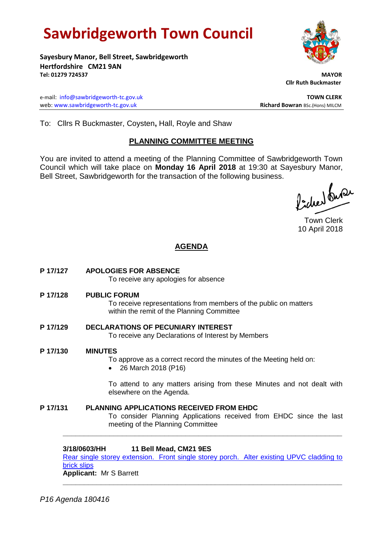# **Sawbridgeworth Town Council**

**Sayesbury Manor, Bell Street, Sawbridgeworth Hertfordshire CM21 9AN Tel: 01279 724537 MAYOR**

e-mail: [info@sawbridgeworth-tc.gov.uk](mailto:info@sawbridgeworth-tc.gov.uk) **TOWN CLERK** web: www.sawbridgeworth-tc.gov.uk **Richard Bowran** BSc.(Hons) MILCM

 **Cllr Ruth Buckmaster** 

To: Cllrs R Buckmaster, Coysten**,** Hall, Royle and Shaw

#### **PLANNING COMMITTEE MEETING**

You are invited to attend a meeting of the Planning Committee of Sawbridgeworth Town Council which will take place on **Monday 16 April 2018** at 19:30 at Sayesbury Manor, Bell Street, Sawbridgeworth for the transaction of the following business.

ladres buse

Town Clerk 10 April 2018

### **AGENDA**

**P 17/127 APOLOGIES FOR ABSENCE**

To receive any apologies for absence

**P 17/128 PUBLIC FORUM**

To receive representations from members of the public on matters within the remit of the Planning Committee

- **P 17/129 DECLARATIONS OF PECUNIARY INTEREST** To receive any Declarations of Interest by Members
- **P 17/130 MINUTES**

To approve as a correct record the minutes of the Meeting held on:

• 26 March 2018 (P16)

To attend to any matters arising from these Minutes and not dealt with elsewhere on the Agenda.

**P 17/131 PLANNING APPLICATIONS RECEIVED FROM EHDC** To consider Planning Applications received from EHDC since the last meeting of the Planning Committee

**3/18/0603/HH 11 Bell Mead, CM21 9ES** 

[Rear single storey extension. Front single storey porch. Alter existing UPVC cladding to](https://publicaccess.eastherts.gov.uk/online-applications/applicationDetails.do?activeTab=documents&keyVal=P5OBL0GLKZ800)  [brick slips](https://publicaccess.eastherts.gov.uk/online-applications/applicationDetails.do?activeTab=documents&keyVal=P5OBL0GLKZ800)

**\_\_\_\_\_\_\_\_\_\_\_\_\_\_\_\_\_\_\_\_\_\_\_\_\_\_\_\_\_\_\_\_\_\_\_\_\_\_\_\_\_\_\_\_\_\_\_\_\_\_\_\_\_\_\_\_\_\_\_\_\_\_\_\_\_\_**

**\_\_\_\_\_\_\_\_\_\_\_\_\_\_\_\_\_\_\_\_\_\_\_\_\_\_\_\_\_\_\_\_\_\_\_\_\_\_\_\_\_\_\_\_\_\_\_\_\_\_\_\_\_\_\_\_\_\_\_\_\_\_\_\_\_\_**

**Applicant:** Mr S Barrett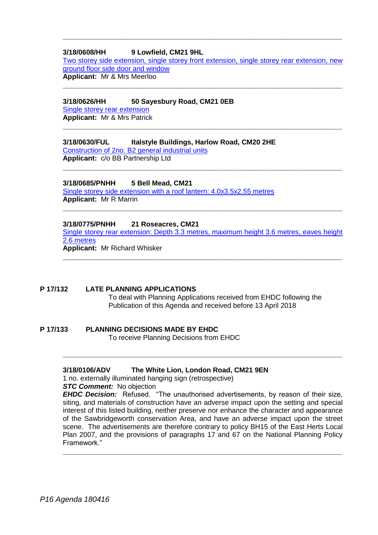#### **3/18/0608/HH 9 Lowfield, CM21 9HL**

[Two storey side extension, single storey front extension, single storey rear extension, new](https://publicaccess.eastherts.gov.uk/online-applications/applicationDetails.do?activeTab=documents&keyVal=P5OXUZGLKZR00)  [ground floor side door and window](https://publicaccess.eastherts.gov.uk/online-applications/applicationDetails.do?activeTab=documents&keyVal=P5OXUZGLKZR00) **Applicant:** Mr & Mrs Meerloo

**\_\_\_\_\_\_\_\_\_\_\_\_\_\_\_\_\_\_\_\_\_\_\_\_\_\_\_\_\_\_\_\_\_\_\_\_\_\_\_\_\_\_\_\_\_\_\_\_\_\_\_\_\_\_\_\_\_\_\_\_\_\_\_\_\_\_**

**\_\_\_\_\_\_\_\_\_\_\_\_\_\_\_\_\_\_\_\_\_\_\_\_\_\_\_\_\_\_\_\_\_\_\_\_\_\_\_\_\_\_\_\_\_\_\_\_\_\_\_\_\_\_\_\_\_\_\_\_\_\_\_\_\_\_**

**\_\_\_\_\_\_\_\_\_\_\_\_\_\_\_\_\_\_\_\_\_\_\_\_\_\_\_\_\_\_\_\_\_\_\_\_\_\_\_\_\_\_\_\_\_\_\_\_\_\_\_\_\_\_\_\_\_\_\_\_\_\_\_\_\_\_**

**\_\_\_\_\_\_\_\_\_\_\_\_\_\_\_\_\_\_\_\_\_\_\_\_\_\_\_\_\_\_\_\_\_\_\_\_\_\_\_\_\_\_\_\_\_\_\_\_\_\_\_\_\_\_\_\_\_\_\_\_\_\_\_\_\_\_**

#### **3/18/0626/HH 50 Sayesbury Road, CM21 0EB**

[Single storey rear extension](https://publicaccess.eastherts.gov.uk/online-applications/applicationDetails.do?activeTab=documents&keyVal=P5VQA5GLL0S00) **Applicant:** Mr & Mrs Patrick

#### **3/18/0630/FUL Italstyle Buildings, Harlow Road, CM20 2HE**

[Construction of 2no. B2 general industrial units](https://publicaccess.eastherts.gov.uk/online-applications/applicationDetails.do?activeTab=documents&keyVal=P5WCJ9GLL1200) **Applicant:** c/o BB Partnership Ltd

#### **3/18/0685/PNHH 5 Bell Mead, CM21**

[Single storey side extension with a roof lantern: 4.0x3.5x2.55 metres](https://publicaccess.eastherts.gov.uk/online-applications/applicationDetails.do?activeTab=documents&keyVal=P678KTGL00Z00) **Applicant:** Mr R Marrin

#### **3/18/0775/PNHH 21 Roseacres, CM21**

[Single storey rear extension: Depth 3.3 metres, maximum height 3.6 metres, eaves height](https://publicaccess.eastherts.gov.uk/online-applications/applicationDetails.do?activeTab=documents&keyVal=P6PKAUGL00V00)  [2.6 metres](https://publicaccess.eastherts.gov.uk/online-applications/applicationDetails.do?activeTab=documents&keyVal=P6PKAUGL00V00) **Applicant:** Mr Richard Whisker

**\_\_\_\_\_\_\_\_\_\_\_\_\_\_\_\_\_\_\_\_\_\_\_\_\_\_\_\_\_\_\_\_\_\_\_\_\_\_\_\_\_\_\_\_\_\_\_\_\_\_\_\_\_\_\_\_\_\_\_\_\_\_\_\_\_\_**

**\_\_\_\_\_\_\_\_\_\_\_\_\_\_\_\_\_\_\_\_\_\_\_\_\_\_\_\_\_\_\_\_\_\_\_\_\_\_\_\_\_\_\_\_\_\_\_\_\_\_\_\_\_\_\_\_\_\_\_\_\_\_\_\_\_\_**

#### **P 17/132 LATE PLANNING APPLICATIONS**

To deal with Planning Applications received from EHDC following the Publication of this Agenda and received before 13 April 2018

## **P 17/133 PLANNING DECISIONS MADE BY EHDC**

To receive Planning Decisions from EHDC

#### **3/18/0106/ADV The White Lion, London Road, CM21 9EN**

1 no. externally illuminated hanging sign (retrospective)

**STC Comment:** No objection

*EHDC Decision:* Refused. "The unauthorised advertisements, by reason of their size, siting, and materials of construction have an adverse impact upon the setting and special interest of this listed building, neither preserve nor enhance the character and appearance of the Sawbridgeworth conservation Area, and have an adverse impact upon the street scene. The advertisements are therefore contrary to policy BH15 of the East Herts Local Plan 2007, and the provisions of paragraphs 17 and 67 on the National Planning Policy Framework."

**\_\_\_\_\_\_\_\_\_\_\_\_\_\_\_\_\_\_\_\_\_\_\_\_\_\_\_\_\_\_\_\_\_\_\_\_\_\_\_\_\_\_\_\_\_\_\_\_\_\_\_\_\_\_\_\_\_\_\_\_\_\_\_\_\_\_**

**\_\_\_\_\_\_\_\_\_\_\_\_\_\_\_\_\_\_\_\_\_\_\_\_\_\_\_\_\_\_\_\_\_\_\_\_\_\_\_\_\_\_\_\_\_\_\_\_\_\_\_\_\_\_\_\_\_\_\_\_\_\_\_\_\_\_**